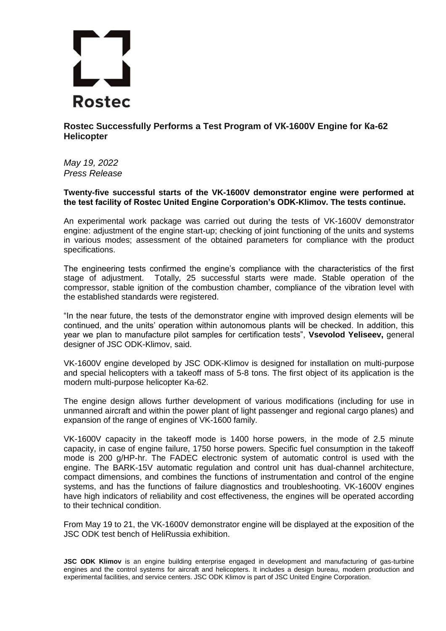

**Rostec Successfully Performs a Test Program of VК-1600V Engine for Ка-62 Helicopter** 

*May 19, 2022 Press Release*

**Twenty-five successful starts of the VK-1600V demonstrator engine were performed at the test facility of Rostec United Engine Corporation's ODK-Klimov. The tests continue.** 

An experimental work package was carried out during the tests of VK-1600V demonstrator engine: adjustment of the engine start-up; checking of joint functioning of the units and systems in various modes; assessment of the obtained parameters for compliance with the product specifications.

The engineering tests confirmed the engine's compliance with the characteristics of the first stage of adjustment. Totally, 25 successful starts were made. Stable operation of the compressor, stable ignition of the combustion chamber, compliance of the vibration level with the established standards were registered.

"In the near future, the tests of the demonstrator engine with improved design elements will be continued, and the units' operation within autonomous plants will be checked. In addition, this year we plan to manufacture pilot samples for certification tests", **Vsevolod Yeliseev,** general designer of JSC ODK-Klimov, said.

VK-1600V engine developed by JSC ODK-Klimov is designed for installation on multi-purpose and special helicopters with a takeoff mass of 5-8 tons. The first object of its application is the modern multi-purpose helicopter Ka-62.

The engine design allows further development of various modifications (including for use in unmanned aircraft and within the power plant of light passenger and regional cargo planes) and expansion of the range of engines of VK-1600 family.

VK-1600V capacity in the takeoff mode is 1400 horse powers, in the mode of 2.5 minute capacity, in case of engine failure, 1750 horse powers. Specific fuel consumption in the takeoff mode is 200 g/HP-hr. The FADEC electronic system of automatic control is used with the engine. The BARK-15V automatic regulation and control unit has dual-channel architecture, compact dimensions, and combines the functions of instrumentation and control of the engine systems, and has the functions of failure diagnostics and troubleshooting. VK-1600V engines have high indicators of reliability and cost effectiveness, the engines will be operated according to their technical condition.

From May 19 to 21, the VK-1600V demonstrator engine will be displayed at the exposition of the JSC ODK test bench of HeliRussia exhibition.

**JSC ODK Klimov** is an engine building enterprise engaged in development and manufacturing of gas-turbine engines and the control systems for aircraft and helicopters. It includes a design bureau, modern production and experimental facilities, and service centers. JSC ODK Klimov is part of JSC United Engine Corporation.